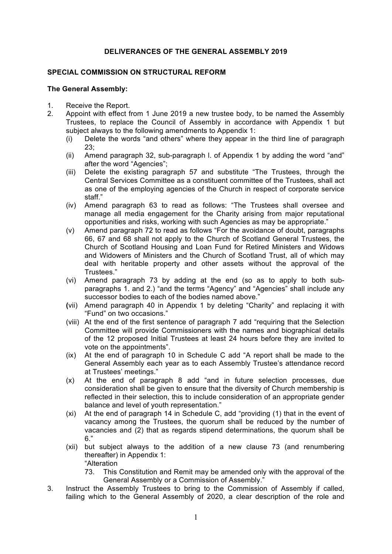## **DELIVERANCES OF THE GENERAL ASSEMBLY 2019**

## **SPECIAL COMMISSION ON STRUCTURAL REFORM**

## **The General Assembly:**

- 1. Receive the Report.
- 2. Appoint with effect from 1 June 2019 a new trustee body, to be named the Assembly Trustees, to replace the Council of Assembly in accordance with Appendix 1 but subject always to the following amendments to Appendix 1:
	- (i) Delete the words "and others" where they appear in the third line of paragraph 23;
	- (ii) Amend paragraph 32, sub-paragraph l. of Appendix 1 by adding the word "and" after the word "Agencies";
	- (iii) Delete the existing paragraph 57 and substitute "The Trustees, through the Central Services Committee as a constituent committee of the Trustees, shall act as one of the employing agencies of the Church in respect of corporate service staff."
	- (iv) Amend paragraph 63 to read as follows: "The Trustees shall oversee and manage all media engagement for the Charity arising from major reputational opportunities and risks, working with such Agencies as may be appropriate."
	- (v) Amend paragraph 72 to read as follows "For the avoidance of doubt, paragraphs 66, 67 and 68 shall not apply to the Church of Scotland General Trustees, the Church of Scotland Housing and Loan Fund for Retired Ministers and Widows and Widowers of Ministers and the Church of Scotland Trust, all of which may deal with heritable property and other assets without the approval of the Trustees."
	- (vi) Amend paragraph 73 by adding at the end (so as to apply to both subparagraphs 1. and 2.) "and the terms "Agency" and "Agencies" shall include any successor bodies to each of the bodies named above."
	- **(**vii) Amend paragraph 40 in Appendix 1 by deleting "Charity" and replacing it with "Fund" on two occasions."
	- (viii) At the end of the first sentence of paragraph 7 add "requiring that the Selection Committee will provide Commissioners with the names and biographical details of the 12 proposed Initial Trustees at least 24 hours before they are invited to vote on the appointments".
	- (ix) At the end of paragraph 10 in Schedule C add "A report shall be made to the General Assembly each year as to each Assembly Trustee's attendance record at Trustees' meetings."
	- (x) At the end of paragraph 8 add "and in future selection processes, due consideration shall be given to ensure that the diversity of Church membership is reflected in their selection, this to include consideration of an appropriate gender balance and level of youth representation."
	- (xi) At the end of paragraph 14 in Schedule C, add "providing (1) that in the event of vacancy among the Trustees, the quorum shall be reduced by the number of vacancies and (2) that as regards stipend determinations, the quorum shall be 6."
	- (xii) but subject always to the addition of a new clause 73 (and renumbering thereafter) in Appendix 1: "Alteration
		- 73. This Constitution and Remit may be amended only with the approval of the General Assembly or a Commission of Assembly."
- 3. Instruct the Assembly Trustees to bring to the Commission of Assembly if called, failing which to the General Assembly of 2020, a clear description of the role and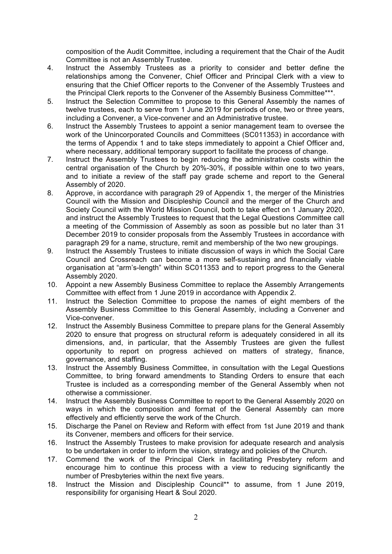composition of the Audit Committee, including a requirement that the Chair of the Audit Committee is not an Assembly Trustee.

- 4. Instruct the Assembly Trustees as a priority to consider and better define the relationships among the Convener, Chief Officer and Principal Clerk with a view to ensuring that the Chief Officer reports to the Convener of the Assembly Trustees and the Principal Clerk reports to the Convener of the Assembly Business Committee\*\*\*.
- 5. Instruct the Selection Committee to propose to this General Assembly the names of twelve trustees, each to serve from 1 June 2019 for periods of one, two or three years, including a Convener, a Vice-convener and an Administrative trustee.
- 6. Instruct the Assembly Trustees to appoint a senior management team to oversee the work of the Unincorporated Councils and Committees (SC011353) in accordance with the terms of Appendix 1 and to take steps immediately to appoint a Chief Officer and, where necessary, additional temporary support to facilitate the process of change.
- 7. Instruct the Assembly Trustees to begin reducing the administrative costs within the central organisation of the Church by 20%-30%, if possible within one to two years, and to initiate a review of the staff pay grade scheme and report to the General Assembly of 2020.
- 8. Approve, in accordance with paragraph 29 of Appendix 1, the merger of the Ministries Council with the Mission and Discipleship Council and the merger of the Church and Society Council with the World Mission Council, both to take effect on 1 January 2020, and instruct the Assembly Trustees to request that the Legal Questions Committee call a meeting of the Commission of Assembly as soon as possible but no later than 31 December 2019 to consider proposals from the Assembly Trustees in accordance with paragraph 29 for a name, structure, remit and membership of the two new groupings.
- 9. Instruct the Assembly Trustees to initiate discussion of ways in which the Social Care Council and Crossreach can become a more self-sustaining and financially viable organisation at "arm's-length" within SC011353 and to report progress to the General Assembly 2020.
- 10. Appoint a new Assembly Business Committee to replace the Assembly Arrangements Committee with effect from 1 June 2019 in accordance with Appendix 2.
- 11. Instruct the Selection Committee to propose the names of eight members of the Assembly Business Committee to this General Assembly, including a Convener and Vice-convener.
- 12. Instruct the Assembly Business Committee to prepare plans for the General Assembly 2020 to ensure that progress on structural reform is adequately considered in all its dimensions, and, in particular, that the Assembly Trustees are given the fullest opportunity to report on progress achieved on matters of strategy, finance, governance, and staffing.
- 13. Instruct the Assembly Business Committee, in consultation with the Legal Questions Committee, to bring forward amendments to Standing Orders to ensure that each Trustee is included as a corresponding member of the General Assembly when not otherwise a commissioner.
- 14. Instruct the Assembly Business Committee to report to the General Assembly 2020 on ways in which the composition and format of the General Assembly can more effectively and efficiently serve the work of the Church.
- 15. Discharge the Panel on Review and Reform with effect from 1st June 2019 and thank its Convener, members and officers for their service.
- 16. Instruct the Assembly Trustees to make provision for adequate research and analysis to be undertaken in order to inform the vision, strategy and policies of the Church.
- 17. Commend the work of the Principal Clerk in facilitating Presbytery reform and encourage him to continue this process with a view to reducing significantly the number of Presbyteries within the next five years.
- 18. Instruct the Mission and Discipleship Council\*\* to assume, from 1 June 2019, responsibility for organising Heart & Soul 2020.